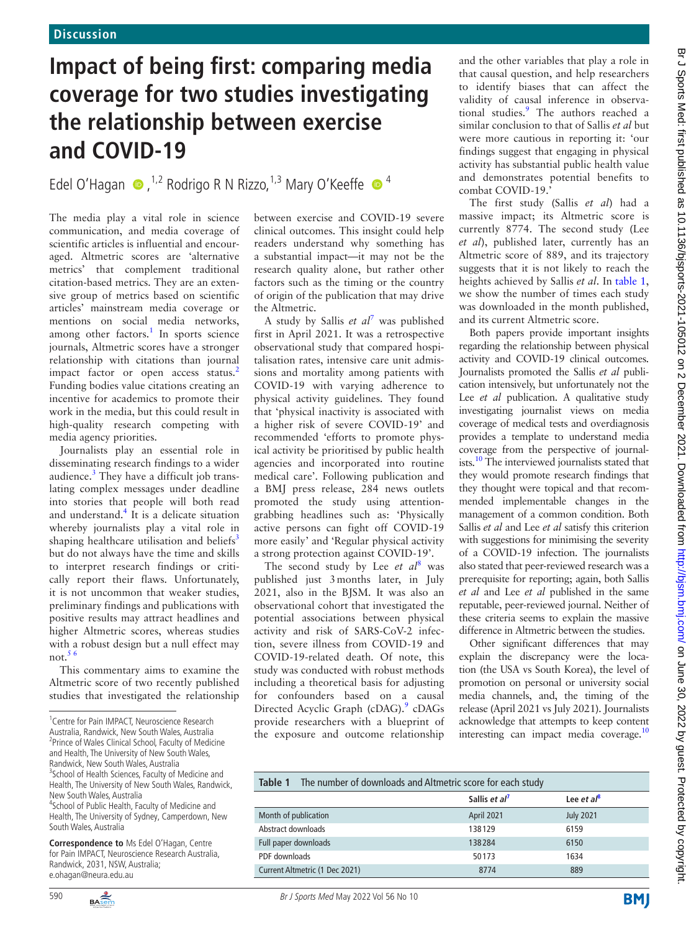## **Impact of being first: comparing media coverage for two studies investigating the relationship between exercise and COVID-19**

Edel O'Hagan  $\bullet$ , <sup>1,2</sup> Rodrigo R N Rizzo, <sup>1,3</sup> Mary O'Keeffe  $\bullet$ <sup>4</sup>

The media play a vital role in science communication, and media coverage of scientific articles is influential and encouraged. Altmetric scores are 'alternative metrics' that complement traditional citation-based metrics. They are an extensive group of metrics based on scientific articles' mainstream media coverage or mentions on social media networks, among other factors.<sup>1</sup> In sports science journals, Altmetric scores have a stronger relationship with citations than journal impact factor or open access status.<sup>[2](#page-1-1)</sup> Funding bodies value citations creating an incentive for academics to promote their work in the media, but this could result in high-quality research competing with media agency priorities.

Journalists play an essential role in disseminating research findings to a wider audience.<sup>3</sup> They have a difficult job translating complex messages under deadline into stories that people will both read and understand.<sup>4</sup> It is a delicate situation whereby journalists play a vital role in shaping healthcare utilisation and beliefs<sup>[3](#page-1-2)</sup> but do not always have the time and skills to interpret research findings or critically report their flaws. Unfortunately, it is not uncommon that weaker studies, preliminary findings and publications with positive results may attract headlines and higher Altmetric scores, whereas studies with a robust design but a null effect may not. $5<sup>6</sup>$ 

This commentary aims to examine the Altmetric score of two recently published studies that investigated the relationship

for Pain IMPACT, Neuroscience Research Australia, Randwick, 2031, NSW, Australia; e.ohagan@neura.edu.au



between exercise and COVID-19 severe clinical outcomes. This insight could help readers understand why something has a substantial impact—it may not be the research quality alone, but rather other factors such as the timing or the country of origin of the publication that may drive the Altmetric.

A study by Sallis *et al*[7](#page-1-5) was published first in April 2021. It was a retrospective observational study that compared hospitalisation rates, intensive care unit admissions and mortality among patients with COVID-19 with varying adherence to physical activity guidelines. They found that 'physical inactivity is associated with a higher risk of severe COVID-19' and recommended 'efforts to promote physical activity be prioritised by public health agencies and incorporated into routine medical care'. Following publication and a BMJ press release, 284 news outlets promoted the study using attentiongrabbing headlines such as: 'Physically active persons can fight off COVID-19 more easily' and 'Regular physical activity a strong protection against COVID-19'.

The second study by Lee *et al*<sup>[8](#page-1-6)</sup> was published just 3months later, in July 2021, also in the BJSM. It was also an observational cohort that investigated the potential associations between physical activity and risk of SARS-CoV-2 infection, severe illness from COVID-19 and COVID-19-related death. Of note, this study was conducted with robust methods including a theoretical basis for adjusting for confounders based on a causal Directed Acyclic Graph (cDAG).<sup>[9](#page-1-7)</sup> cDAGs provide researchers with a blueprint of the exposure and outcome relationship

and the other variables that play a role in that causal question, and help researchers to identify biases that can affect the validity of causal inference in observa-tional studies.<sup>[9](#page-1-7)</sup> The authors reached a similar conclusion to that of Sallis *et al* but were more cautious in reporting it: 'our findings suggest that engaging in physical activity has substantial public health value and demonstrates potential benefits to combat COVID-19.'

The first study (Sallis *et al*) had a massive impact; its Altmetric score is currently 8774. The second study (Lee *et al*), published later, currently has an Altmetric score of 889, and its trajectory suggests that it is not likely to reach the heights achieved by Sallis *et al*. In [table](#page-0-0) 1, we show the number of times each study was downloaded in the month published, and its current Altmetric score.

Both papers provide important insights regarding the relationship between physical activity and COVID-19 clinical outcomes. Journalists promoted the Sallis *et al* publication intensively, but unfortunately not the Lee *et al* publication. A qualitative study investigating journalist views on media coverage of medical tests and overdiagnosis provides a template to understand media coverage from the perspective of journalists.<sup>10</sup> The interviewed journalists stated that they would promote research findings that they thought were topical and that recommended implementable changes in the management of a common condition. Both Sallis *et al* and Lee *et al* satisfy this criterion with suggestions for minimising the severity of a COVID-19 infection. The journalists also stated that peer-reviewed research was a prerequisite for reporting; again, both Sallis *et al* and Lee *et al* published in the same reputable, peer-reviewed journal. Neither of these criteria seems to explain the massive difference in Altmetric between the studies.

Other significant differences that may explain the discrepancy were the location (the USA vs South Korea), the level of promotion on personal or university social media channels, and, the timing of the release (April 2021 vs July 2021). Journalists acknowledge that attempts to keep content interesting can impact media coverage.<sup>10</sup>

<span id="page-0-0"></span>

| The number of downloads and Altmetric score for each study<br>Table 1 |                           |                  |
|-----------------------------------------------------------------------|---------------------------|------------------|
|                                                                       | Sallis et al <sup>7</sup> | Lee et $a^8$     |
| Month of publication                                                  | April 2021                | <b>July 2021</b> |
| Abstract downloads                                                    | 138129                    | 6159             |
| Full paper downloads                                                  | 138284                    | 6150             |
| PDF downloads                                                         | 50173                     | 1634             |
| Current Altmetric (1 Dec 2021)                                        | 8774                      | 889              |

<sup>&</sup>lt;sup>1</sup> Centre for Pain IMPACT, Neuroscience Research Australia, Randwick, New South Wales, Australia <sup>2</sup> Prince of Wales Clinical School, Faculty of Medicine and Health, The University of New South Wales, Randwick, New South Wales, Australia <sup>3</sup> School of Health Sciences, Faculty of Medicine and Health, The University of New South Wales, Randwick,

New South Wales, Australia <sup>4</sup>School of Public Health, Faculty of Medicine and Health, The University of Sydney, Camperdown, New

South Wales, Australia **Correspondence to** Ms Edel O'Hagan, Centre